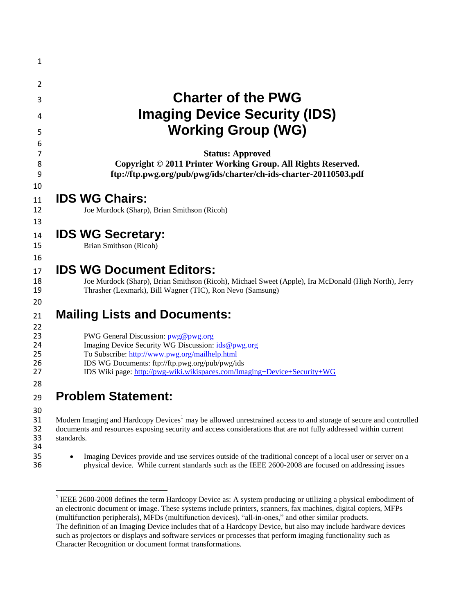| 1                                |                                                                                                                                                                                                                                                                            |
|----------------------------------|----------------------------------------------------------------------------------------------------------------------------------------------------------------------------------------------------------------------------------------------------------------------------|
| 2                                |                                                                                                                                                                                                                                                                            |
| 3                                | <b>Charter of the PWG</b>                                                                                                                                                                                                                                                  |
| 4                                | <b>Imaging Device Security (IDS)</b>                                                                                                                                                                                                                                       |
| 5                                | <b>Working Group (WG)</b>                                                                                                                                                                                                                                                  |
| 6<br>7                           | <b>Status: Approved</b>                                                                                                                                                                                                                                                    |
| 8<br>9                           | Copyright © 2011 Printer Working Group. All Rights Reserved.<br>ftp://ftp.pwg.org/pub/pwg/ids/charter/ch-ids-charter-20110503.pdf                                                                                                                                          |
| 10                               |                                                                                                                                                                                                                                                                            |
| 11                               | <b>IDS WG Chairs:</b>                                                                                                                                                                                                                                                      |
| 12<br>13                         | Joe Murdock (Sharp), Brian Smithson (Ricoh)                                                                                                                                                                                                                                |
| 14                               | <b>IDS WG Secretary:</b>                                                                                                                                                                                                                                                   |
| 15                               | Brian Smithson (Ricoh)                                                                                                                                                                                                                                                     |
| 16<br>17<br>18<br>19<br>20       | <b>IDS WG Document Editors:</b><br>Joe Murdock (Sharp), Brian Smithson (Ricoh), Michael Sweet (Apple), Ira McDonald (High North), Jerry<br>Thrasher (Lexmark), Bill Wagner (TIC), Ron Nevo (Samsung)                                                                       |
| 21<br>22                         | <b>Mailing Lists and Documents:</b>                                                                                                                                                                                                                                        |
| 23<br>24<br>25<br>26<br>27<br>28 | PWG General Discussion: pwg@pwg.org<br>Imaging Device Security WG Discussion: ids@pwg.org<br>To Subscribe: http://www.pwg.org/mailhelp.html<br>IDS WG Documents: ftp://ftp.pwg.org/pub/pwg/ids<br>IDS Wiki page: http://pwg-wiki.wikispaces.com/Imaging+Device+Security+WG |
| 29                               | <b>Problem Statement:</b>                                                                                                                                                                                                                                                  |
| 30<br>31<br>32<br>33<br>34       | Modern Imaging and Hardcopy Devices <sup>1</sup> may be allowed unrestrained access to and storage of secure and controlled<br>documents and resources exposing security and access considerations that are not fully addressed within current<br>standards.               |
| 35<br>36                         | Imaging Devices provide and use services outside of the traditional concept of a local user or server on a<br>physical device. While current standards such as the IEEE 2600-2008 are focused on addressing issues                                                         |
|                                  |                                                                                                                                                                                                                                                                            |

<sup>&</sup>lt;sup>1</sup> IEEE 2600-2008 defines the term Hardcopy Device as: A system producing or utilizing a physical embodiment of an electronic document or image. These systems include printers, scanners, fax machines, digital copiers, MFPs (multifunction peripherals), MFDs (multifunction devices), "all-in-ones," and other similar products. The definition of an Imaging Device includes that of a Hardcopy Device, but also may include hardware devices such as projectors or displays and software services or processes that perform imaging functionality such as Character Recognition or document format transformations.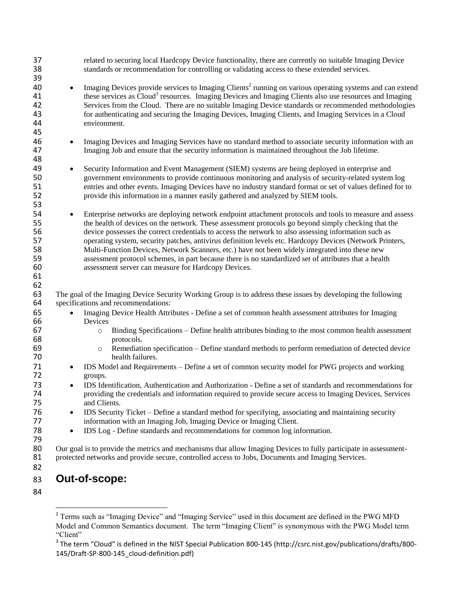| 37<br>38<br>39                   | related to securing local Hardcopy Device functionality, there are currently no suitable Imaging Device<br>standards or recommendation for controlling or validating access to these extended services.                                                                                                                                                                                                                                                                                  |  |
|----------------------------------|------------------------------------------------------------------------------------------------------------------------------------------------------------------------------------------------------------------------------------------------------------------------------------------------------------------------------------------------------------------------------------------------------------------------------------------------------------------------------------------|--|
| 40<br>41<br>42<br>43<br>44<br>45 | Imaging Devices provide services to Imaging Clients <sup>2</sup> running on various operating systems and can extend<br>$\bullet$<br>these services as Cloud <sup>3</sup> resources. Imaging Devices and Imaging Clients also use resources and Imaging<br>Services from the Cloud. There are no suitable Imaging Device standards or recommended methodologies<br>for authenticating and securing the Imaging Devices, Imaging Clients, and Imaging Services in a Cloud<br>environment. |  |
| 46<br>47<br>48                   | Imaging Devices and Imaging Services have no standard method to associate security information with an<br>$\bullet$<br>Imaging Job and ensure that the security information is maintained throughout the Job lifetime.                                                                                                                                                                                                                                                                   |  |
| 49<br>50<br>51<br>52<br>53       | Security Information and Event Management (SIEM) systems are being deployed in enterprise and<br>$\bullet$<br>government environments to provide continuous monitoring and analysis of security-related system log<br>entries and other events. Imaging Devices have no industry standard format or set of values defined for to<br>provide this information in a manner easily gathered and analyzed by SIEM tools.                                                                     |  |
| 54<br>55<br>56<br>57             | Enterprise networks are deploying network endpoint attachment protocols and tools to measure and assess<br>$\bullet$<br>the health of devices on the network. These assessment protocols go beyond simply checking that the<br>device possesses the correct credentials to access the network to also assessing information such as<br>operating system, security patches, antivirus definition levels etc. Hardcopy Devices (Network Printers,                                          |  |
| 58<br>59<br>60                   | Multi-Function Devices, Network Scanners, etc.) have not been widely integrated into these new<br>assessment protocol schemes, in part because there is no standardized set of attributes that a health<br>assessment server can measure for Hardcopy Devices.                                                                                                                                                                                                                           |  |
| 61<br>62<br>63                   | The goal of the Imaging Device Security Working Group is to address these issues by developing the following                                                                                                                                                                                                                                                                                                                                                                             |  |
| 64                               | specifications and recommendations:                                                                                                                                                                                                                                                                                                                                                                                                                                                      |  |
| 65                               | Imaging Device Health Attributes - Define a set of common health assessment attributes for Imaging<br>$\bullet$                                                                                                                                                                                                                                                                                                                                                                          |  |
| 66                               | Devices                                                                                                                                                                                                                                                                                                                                                                                                                                                                                  |  |
| 67<br>68                         | Binding Specifications - Define health attributes binding to the most common health assessment<br>$\circ$<br>protocols.                                                                                                                                                                                                                                                                                                                                                                  |  |
| 69<br>70                         | Remediation specification – Define standard methods to perform remediation of detected device<br>$\circ$<br>health failures.                                                                                                                                                                                                                                                                                                                                                             |  |
| 71<br>72                         | IDS Model and Requirements – Define a set of common security model for PWG projects and working<br>$\bullet$<br>groups.                                                                                                                                                                                                                                                                                                                                                                  |  |
| 73<br>74<br>75                   | IDS Identification, Authentication and Authorization - Define a set of standards and recommendations for<br>$\bullet$<br>providing the credentials and information required to provide secure access to Imaging Devices, Services<br>and Clients.                                                                                                                                                                                                                                        |  |
| 76<br>77                         | IDS Security Ticket – Define a standard method for specifying, associating and maintaining security<br>information with an Imaging Job, Imaging Device or Imaging Client.                                                                                                                                                                                                                                                                                                                |  |
| 78<br>79                         | IDS Log - Define standards and recommendations for common log information.<br>$\bullet$                                                                                                                                                                                                                                                                                                                                                                                                  |  |
| 80<br>81<br>82                   | Our goal is to provide the metrics and mechanisms that allow Imaging Devices to fully participate in assessment-<br>protected networks and provide secure, controlled access to Jobs, Documents and Imaging Services.                                                                                                                                                                                                                                                                    |  |

## **Out-of-scope:**

<sup>&</sup>lt;sup>2</sup> Terms such as "Imaging Device" and "Imaging Service" used in this document are defined in the PWG MFD Model and Common Semantics document. The term "Imaging Client" is synonymous with the PWG Model term "Client"

 $^3$  The term "Cloud" is defined in the NIST Special Publication 800-145 (http://csrc.nist.gov/publications/drafts/800-145/Draft-SP-800-145\_cloud-definition.pdf)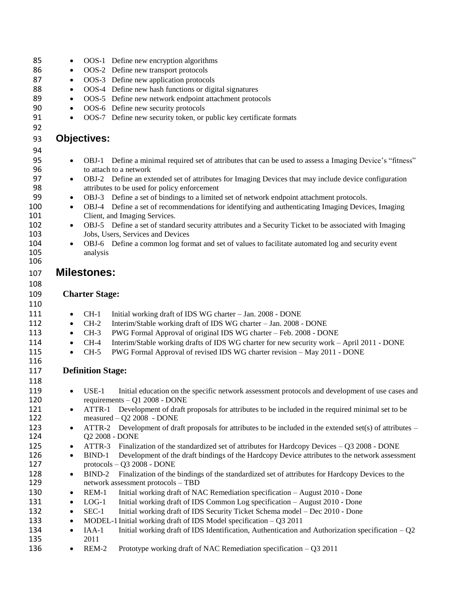| 85         | $\bullet$ |                          | OOS-1 Define new encryption algorithms                                                                    |
|------------|-----------|--------------------------|-----------------------------------------------------------------------------------------------------------|
| 86         | $\bullet$ |                          | OOS-2 Define new transport protocols                                                                      |
| 87         | $\bullet$ |                          | OOS-3 Define new application protocols                                                                    |
| 88         | $\bullet$ |                          | OOS-4 Define new hash functions or digital signatures                                                     |
| 89         | $\bullet$ |                          | OOS-5 Define new network endpoint attachment protocols                                                    |
| 90         | $\bullet$ |                          | OOS-6 Define new security protocols                                                                       |
| 91         | $\bullet$ |                          | OOS-7 Define new security token, or public key certificate formats                                        |
| 92         |           |                          |                                                                                                           |
| 93         |           | <b>Objectives:</b>       |                                                                                                           |
| 94         |           |                          |                                                                                                           |
| 95         | $\bullet$ |                          | OBJ-1 Define a minimal required set of attributes that can be used to assess a Imaging Device's "fitness" |
| 96         |           |                          | to attach to a network                                                                                    |
| 97         | $\bullet$ |                          | OBJ-2 Define an extended set of attributes for Imaging Devices that may include device configuration      |
| 98         |           |                          | attributes to be used for policy enforcement                                                              |
| 99         | ٠         |                          | OBJ-3 Define a set of bindings to a limited set of network endpoint attachment protocols.                 |
| 100        | $\bullet$ |                          | OBJ-4 Define a set of recommendations for identifying and authenticating Imaging Devices, Imaging         |
| 101        |           |                          | Client, and Imaging Services.                                                                             |
| 102        | $\bullet$ |                          | OBJ-5 Define a set of standard security attributes and a Security Ticket to be associated with Imaging    |
| 103        |           |                          | Jobs, Users, Services and Devices                                                                         |
| 104        |           |                          | OBJ-6 Define a common log format and set of values to facilitate automated log and security event         |
| 105        |           | analysis                 |                                                                                                           |
| 106        |           |                          |                                                                                                           |
| 107        |           | <b>Milestones:</b>       |                                                                                                           |
| 108        |           |                          |                                                                                                           |
| 109        |           | <b>Charter Stage:</b>    |                                                                                                           |
|            |           |                          |                                                                                                           |
|            |           |                          |                                                                                                           |
| 110        |           |                          |                                                                                                           |
| 111        | $\bullet$ | $CH-1$                   | Initial working draft of IDS WG charter - Jan. 2008 - DONE                                                |
| 112        | $\bullet$ | $CH-2$                   | Interim/Stable working draft of IDS WG charter - Jan. 2008 - DONE                                         |
| 113        | $\bullet$ | $CH-3$                   | PWG Formal Approval of original IDS WG charter - Feb. 2008 - DONE                                         |
| 114        | $\bullet$ | $CH-4$                   | Interim/Stable working drafts of IDS WG charter for new security work - April 2011 - DONE                 |
| 115        | $\bullet$ | $CH-5$                   | PWG Formal Approval of revised IDS WG charter revision - May 2011 - DONE                                  |
| 116        |           |                          |                                                                                                           |
| 117        |           | <b>Definition Stage:</b> |                                                                                                           |
| 118        |           |                          |                                                                                                           |
| 119        | $\bullet$ | $USE-1$                  | Initial education on the specific network assessment protocols and development of use cases and           |
| 120        |           |                          | requirements - Q1 2008 - DONE                                                                             |
| 121        | $\bullet$ | ATTR-1                   | Development of draft proposals for attributes to be included in the required minimal set to be            |
| 122        |           |                          | measured $-$ Q2 2008 $-$ DONE                                                                             |
| 123        | $\bullet$ | ATTR-2                   | Development of draft proposals for attributes to be included in the extended set(s) of attributes $-$     |
| 124        |           |                          | Q2 2008 - DONE                                                                                            |
| 125        | $\bullet$ | ATTR-3                   | Finalization of the standardized set of attributes for Hardcopy Devices $-$ Q3 2008 - DONE                |
| 126        | $\bullet$ | BIND-1                   | Development of the draft bindings of the Hardcopy Device attributes to the network assessment             |
| 127        |           |                          | $protocols - Q3 2008 - DONE$                                                                              |
| 128        | $\bullet$ | BIND-2                   | Finalization of the bindings of the standardized set of attributes for Hardcopy Devices to the            |
| 129        |           |                          | network assessment protocols - TBD                                                                        |
| 130        | $\bullet$ | REM-1                    | Initial working draft of NAC Remediation specification - August 2010 - Done                               |
| 131        | $\bullet$ | $LOG-1$                  | Initial working draft of IDS Common Log specification - August 2010 - Done                                |
| 132        | $\bullet$ | $SEC-1$                  | Initial working draft of IDS Security Ticket Schema model - Dec 2010 - Done                               |
| 133        | $\bullet$ |                          | MODEL-1 Initial working draft of IDS Model specification $-$ Q3 2011                                      |
| 134        | $\bullet$ | $IAA-1$                  | Initial working draft of IDS Identification, Authentication and Authorization specification $-Q2$         |
| 135<br>136 |           | 2011<br>REM-2            | Prototype working draft of NAC Remediation specification $-$ Q3 2011                                      |